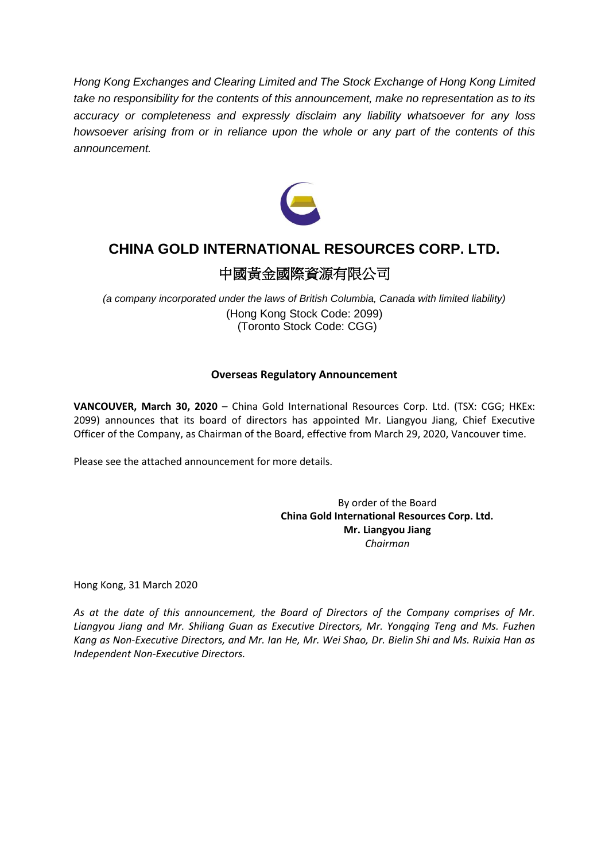*Hong Kong Exchanges and Clearing Limited and The Stock Exchange of Hong Kong Limited take no responsibility for the contents of this announcement, make no representation as to its accuracy or completeness and expressly disclaim any liability whatsoever for any loss howsoever arising from or in reliance upon the whole or any part of the contents of this announcement.*



# **CHINA GOLD INTERNATIONAL RESOURCES CORP. LTD.**

## 中國黃金國際資源有限公司

*(a company incorporated under the laws of British Columbia, Canada with limited liability)* (Hong Kong Stock Code: 2099) (Toronto Stock Code: CGG)

## **Overseas Regulatory Announcement**

**VANCOUVER, March 30, 2020** – China Gold International Resources Corp. Ltd. (TSX: CGG; HKEx: 2099) announces that its board of directors has appointed Mr. Liangyou Jiang, Chief Executive Officer of the Company, as Chairman of the Board, effective from March 29, 2020, Vancouver time.

Please see the attached announcement for more details.

By order of the Board **China Gold International Resources Corp. Ltd. Mr. Liangyou Jiang** *Chairman*

Hong Kong, 31 March 2020

*As at the date of this announcement, the Board of Directors of the Company comprises of Mr. Liangyou Jiang and Mr. Shiliang Guan as Executive Directors, Mr. Yongqing Teng and Ms. Fuzhen Kang as Non‐Executive Directors, and Mr. Ian He, Mr. Wei Shao, Dr. Bielin Shi and Ms. Ruixia Han as Independent Non‐Executive Directors.*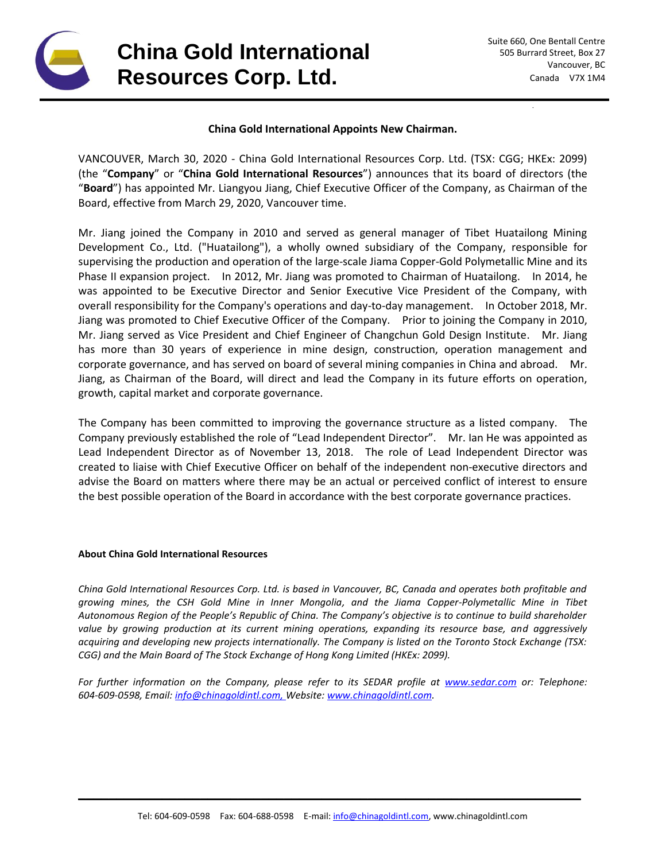

**China Gold International Resources Corp. Ltd.**

### **China Gold International Appoints New Chairman.**

VANCOUVER, March 30, 2020 - China Gold International Resources Corp. Ltd. (TSX: CGG; HKEx: 2099) (the "**Company**" or "**China Gold International Resources**") announces that its board of directors (the "**Board**") has appointed Mr. Liangyou Jiang, Chief Executive Officer of the Company, as Chairman of the Board, effective from March 29, 2020, Vancouver time.

Mr. Jiang joined the Company in 2010 and served as general manager of Tibet Huatailong Mining Development Co., Ltd. ("Huatailong"), a wholly owned subsidiary of the Company, responsible for supervising the production and operation of the large-scale Jiama Copper-Gold Polymetallic Mine and its Phase II expansion project. In 2012, Mr. Jiang was promoted to Chairman of Huatailong. In 2014, he was appointed to be Executive Director and Senior Executive Vice President of the Company, with overall responsibility for the Company's operations and day-to-day management. In October 2018, Mr. Jiang was promoted to Chief Executive Officer of the Company. Prior to joining the Company in 2010, Mr. Jiang served as Vice President and Chief Engineer of Changchun Gold Design Institute. Mr. Jiang has more than 30 years of experience in mine design, construction, operation management and corporate governance, and has served on board of several mining companies in China and abroad. Mr. Jiang, as Chairman of the Board, will direct and lead the Company in its future efforts on operation, growth, capital market and corporate governance.

The Company has been committed to improving the governance structure as a listed company. The Company previously established the role of "Lead Independent Director". Mr. Ian He was appointed as Lead Independent Director as of November 13, 2018. The role of Lead Independent Director was created to liaise with Chief Executive Officer on behalf of the independent non-executive directors and advise the Board on matters where there may be an actual or perceived conflict of interest to ensure the best possible operation of the Board in accordance with the best corporate governance practices.

#### **About China Gold International Resources**

*China Gold International Resources Corp. Ltd. is based in Vancouver, BC, Canada and operates both profitable and growing mines, the CSH Gold Mine in Inner Mongolia, and the Jiama Copper-Polymetallic Mine in Tibet Autonomous Region of the People's Republic of China. The Company's objective is to continue to build shareholder value by growing production at its current mining operations, expanding its resource base, and aggressively acquiring and developing new projects internationally. The Company is listed on the Toronto Stock Exchange (TSX: CGG) and the Main Board of The Stock Exchange of Hong Kong Limited (HKEx: 2099).*

*For further information on the Company, please refer to its SEDAR profile at [www.sedar.com](http://www.sedar.com/) or: Telephone: 604-609-0598, Email: [info@chinagoldintl.com,](mailto:info@chinagoldintl.com) Website: [www.chinagoldintl.com.](http://www.chinagoldintl.com/)*

\_\_\_\_\_\_\_\_\_\_\_\_\_\_\_\_\_\_\_\_\_\_\_\_\_\_\_\_\_\_\_\_\_\_\_\_\_\_\_\_\_\_\_\_\_\_\_\_\_\_\_\_\_\_\_\_\_\_\_\_\_\_\_\_\_\_